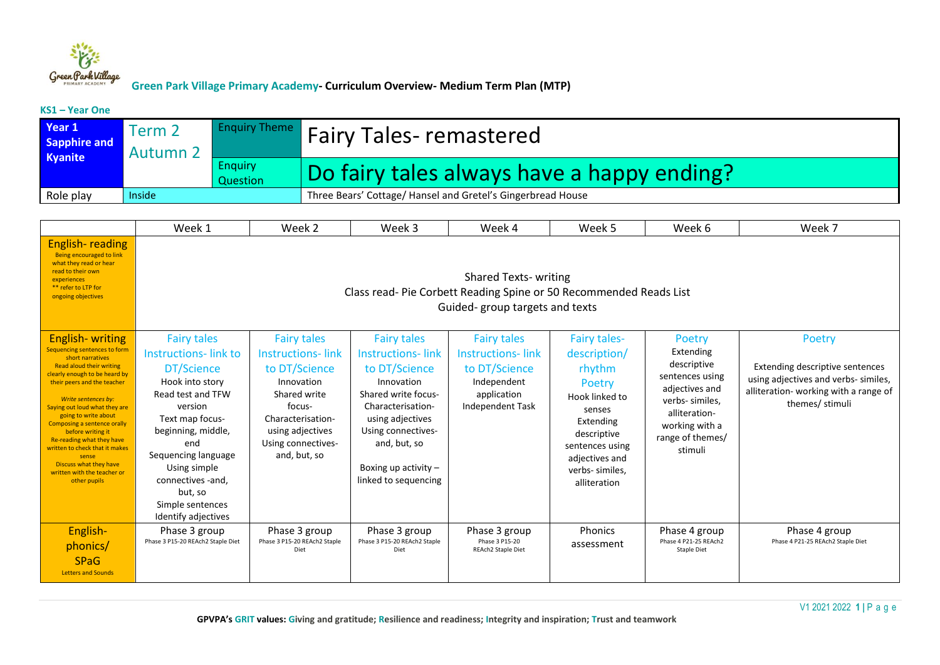

#### **KS1 – Year One**

| Year 1<br>Sapphire and<br>Kyanite | Term 2<br><b>Autumn 2</b> |                            | <b>Enquiry Theme</b> Fairy Tales-remastered                 |
|-----------------------------------|---------------------------|----------------------------|-------------------------------------------------------------|
|                                   |                           | <b>Enquiry</b><br>Question | Do fairy tales always have a happy ending?                  |
| Role play                         | Inside                    |                            | Three Bears' Cottage/ Hansel and Gretel's Gingerbread House |

|                                                                                                                                                                                                                                                                                                                                                                                                                                                             | Week 1                                                                                                                                                                                                                                                                        | Week 2                                                                                                                                                                                 | Week 3                                                                                                                                                                                                                                | Week 4                                                                                                            | Week 5                                                                                                                                                                                  | Week 6                                                                                                                                                       | Week 7                                                                                                                                       |  |  |  |  |
|-------------------------------------------------------------------------------------------------------------------------------------------------------------------------------------------------------------------------------------------------------------------------------------------------------------------------------------------------------------------------------------------------------------------------------------------------------------|-------------------------------------------------------------------------------------------------------------------------------------------------------------------------------------------------------------------------------------------------------------------------------|----------------------------------------------------------------------------------------------------------------------------------------------------------------------------------------|---------------------------------------------------------------------------------------------------------------------------------------------------------------------------------------------------------------------------------------|-------------------------------------------------------------------------------------------------------------------|-----------------------------------------------------------------------------------------------------------------------------------------------------------------------------------------|--------------------------------------------------------------------------------------------------------------------------------------------------------------|----------------------------------------------------------------------------------------------------------------------------------------------|--|--|--|--|
| <b>English-reading</b><br>Being encouraged to link<br>what they read or hear<br>read to their own<br>experiences<br>** refer to LTP for<br>ongoing objectives                                                                                                                                                                                                                                                                                               |                                                                                                                                                                                                                                                                               | <b>Shared Texts- writing</b><br>Class read-Pie Corbett Reading Spine or 50 Recommended Reads List<br>Guided-group targets and texts                                                    |                                                                                                                                                                                                                                       |                                                                                                                   |                                                                                                                                                                                         |                                                                                                                                                              |                                                                                                                                              |  |  |  |  |
| <b>English-writing</b><br>Sequencing sentences to form<br>short narratives<br>Read aloud their writing<br>clearly enough to be heard by<br>their peers and the teacher<br>Write sentences by:<br>Saying out loud what they are<br>going to write about<br>Composing a sentence orally<br>before writing it<br>Re-reading what they have<br>written to check that it makes<br>sense<br>Discuss what they have<br>written with the teacher or<br>other pupils | <b>Fairy tales</b><br>Instructions-link to<br>DT/Science<br>Hook into story<br>Read test and TFW<br>version<br>Text map focus-<br>beginning, middle,<br>end<br>Sequencing language<br>Using simple<br>connectives -and.<br>but, so<br>Simple sentences<br>Identify adjectives | <b>Fairy tales</b><br><b>Instructions-link</b><br>to DT/Science<br>Innovation<br>Shared write<br>focus-<br>Characterisation-<br>using adjectives<br>Using connectives-<br>and, but, so | <b>Fairy tales</b><br><b>Instructions-link</b><br>to DT/Science<br>Innovation<br>Shared write focus-<br>Characterisation-<br>using adjectives<br>Using connectives-<br>and, but, so<br>Boxing up activity $-$<br>linked to sequencing | <b>Fairy tales</b><br><b>Instructions-link</b><br>to DT/Science<br>Independent<br>application<br>Independent Task | <b>Fairy tales-</b><br>description/<br>rhythm<br>Poetry<br>Hook linked to<br>senses<br>Extending<br>descriptive<br>sentences using<br>adjectives and<br>verbs- similes,<br>alliteration | Poetry<br>Extending<br>descriptive<br>sentences using<br>adjectives and<br>verbs- similes,<br>alliteration-<br>working with a<br>range of themes/<br>stimuli | Poetry<br>Extending descriptive sentences<br>using adjectives and verbs-similes,<br>alliteration- working with a range of<br>themes/ stimuli |  |  |  |  |
| English-<br>phonics/<br><b>SPaG</b><br><b>Letters and Sounds</b>                                                                                                                                                                                                                                                                                                                                                                                            | Phase 3 group<br>Phase 3 P15-20 REAch2 Staple Diet                                                                                                                                                                                                                            | Phase 3 group<br>Phase 3 P15-20 REAch2 Staple<br>Diet                                                                                                                                  | Phase 3 group<br>Phase 3 P15-20 REAch2 Staple<br>Diet                                                                                                                                                                                 | Phase 3 group<br>Phase 3 P15-20<br>REAch2 Staple Diet                                                             | Phonics<br>assessment                                                                                                                                                                   | Phase 4 group<br>Phase 4 P21-25 REAch2<br><b>Staple Diet</b>                                                                                                 | Phase 4 group<br>Phase 4 P21-25 REAch2 Staple Diet                                                                                           |  |  |  |  |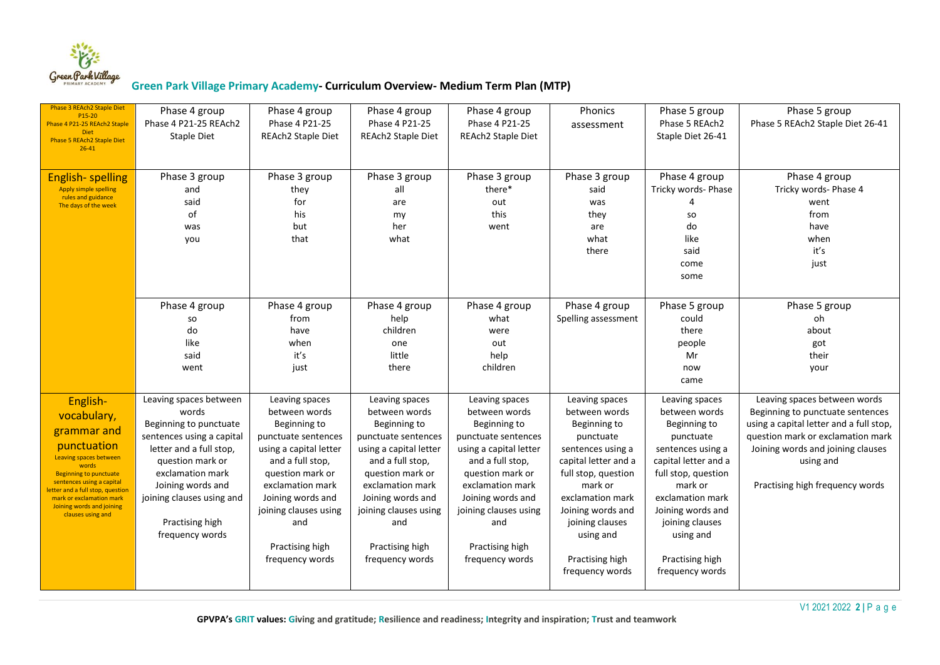

| Phase 3 REAch2 Staple Diet<br>P15-20<br>Phase 4 P21-25 REAch2 Staple<br><b>Diet</b><br>Phase 5 REAch2 Staple Diet<br>$26 - 41$                                                                                                                                          | Phase 4 group<br>Phase 4 P21-25 REAch2<br>Staple Diet                                                                                                                                                                                             | Phase 4 group<br>Phase 4 P21-25<br>REAch2 Staple Diet                                                                                                                                                                                                   | Phase 4 group<br>Phase 4 P21-25<br>REAch2 Staple Diet                                                                                                                                                                                                   | Phase 4 group<br>Phase 4 P21-25<br>REAch2 Staple Diet                                                                                                                                                                                                   | Phonics<br>assessment                                                                                                                                                                                                                                      | Phase 5 group<br>Phase 5 REAch2<br>Staple Diet 26-41                                                                                                                                                                                                       | Phase 5 group<br>Phase 5 REAch2 Staple Diet 26-41                                                                                                                                                                                     |
|-------------------------------------------------------------------------------------------------------------------------------------------------------------------------------------------------------------------------------------------------------------------------|---------------------------------------------------------------------------------------------------------------------------------------------------------------------------------------------------------------------------------------------------|---------------------------------------------------------------------------------------------------------------------------------------------------------------------------------------------------------------------------------------------------------|---------------------------------------------------------------------------------------------------------------------------------------------------------------------------------------------------------------------------------------------------------|---------------------------------------------------------------------------------------------------------------------------------------------------------------------------------------------------------------------------------------------------------|------------------------------------------------------------------------------------------------------------------------------------------------------------------------------------------------------------------------------------------------------------|------------------------------------------------------------------------------------------------------------------------------------------------------------------------------------------------------------------------------------------------------------|---------------------------------------------------------------------------------------------------------------------------------------------------------------------------------------------------------------------------------------|
| <b>English-spelling</b><br><b>Apply simple spelling</b><br>rules and guidance<br>The days of the week                                                                                                                                                                   | Phase 3 group<br>and<br>said<br>of<br>was<br>you                                                                                                                                                                                                  | Phase 3 group<br>they<br>for<br>his<br>but<br>that                                                                                                                                                                                                      | Phase 3 group<br>all<br>are<br>my<br>her<br>what                                                                                                                                                                                                        | Phase 3 group<br>there*<br>out<br>this<br>went                                                                                                                                                                                                          | Phase 3 group<br>said<br>was<br>they<br>are<br>what<br>there                                                                                                                                                                                               | Phase 4 group<br>Tricky words- Phase<br>SO<br>do<br>like<br>said<br>come<br>some                                                                                                                                                                           | Phase 4 group<br>Tricky words- Phase 4<br>went<br>from<br>have<br>when<br>it's<br>just                                                                                                                                                |
|                                                                                                                                                                                                                                                                         | Phase 4 group<br>so<br>do<br>like<br>said<br>went                                                                                                                                                                                                 | Phase 4 group<br>from<br>have<br>when<br>it's<br>just                                                                                                                                                                                                   | Phase 4 group<br>help<br>children<br>one<br>little<br>there                                                                                                                                                                                             | Phase 4 group<br>what<br>were<br>out<br>help<br>children                                                                                                                                                                                                | Phase 4 group<br>Spelling assessment                                                                                                                                                                                                                       | Phase 5 group<br>could<br>there<br>people<br>Mr<br>now<br>came                                                                                                                                                                                             | Phase 5 group<br>oh<br>about<br>got<br>their<br>your                                                                                                                                                                                  |
| English-<br>vocabulary,<br>grammar and<br>punctuation<br>Leaving spaces between<br>words<br><b>Beginning to punctuate</b><br>sentences using a capital<br>etter and a full stop, question<br>mark or exclamation mark<br>Joining words and joining<br>clauses using and | Leaving spaces between<br>words<br>Beginning to punctuate<br>sentences using a capital<br>letter and a full stop,<br>question mark or<br>exclamation mark<br>Joining words and<br>joining clauses using and<br>Practising high<br>frequency words | Leaving spaces<br>between words<br>Beginning to<br>punctuate sentences<br>using a capital letter<br>and a full stop,<br>question mark or<br>exclamation mark<br>Joining words and<br>joining clauses using<br>and<br>Practising high<br>frequency words | Leaving spaces<br>between words<br>Beginning to<br>punctuate sentences<br>using a capital letter<br>and a full stop,<br>question mark or<br>exclamation mark<br>Joining words and<br>joining clauses using<br>and<br>Practising high<br>frequency words | Leaving spaces<br>between words<br>Beginning to<br>punctuate sentences<br>using a capital letter<br>and a full stop,<br>question mark or<br>exclamation mark<br>Joining words and<br>joining clauses using<br>and<br>Practising high<br>frequency words | Leaving spaces<br>between words<br>Beginning to<br>punctuate<br>sentences using a<br>capital letter and a<br>full stop, question<br>mark or<br>exclamation mark<br>Joining words and<br>joining clauses<br>using and<br>Practising high<br>frequency words | Leaving spaces<br>between words<br>Beginning to<br>punctuate<br>sentences using a<br>capital letter and a<br>full stop, question<br>mark or<br>exclamation mark<br>Joining words and<br>joining clauses<br>using and<br>Practising high<br>frequency words | Leaving spaces between words<br>Beginning to punctuate sentences<br>using a capital letter and a full stop,<br>question mark or exclamation mark<br>Joining words and joining clauses<br>using and<br>Practising high frequency words |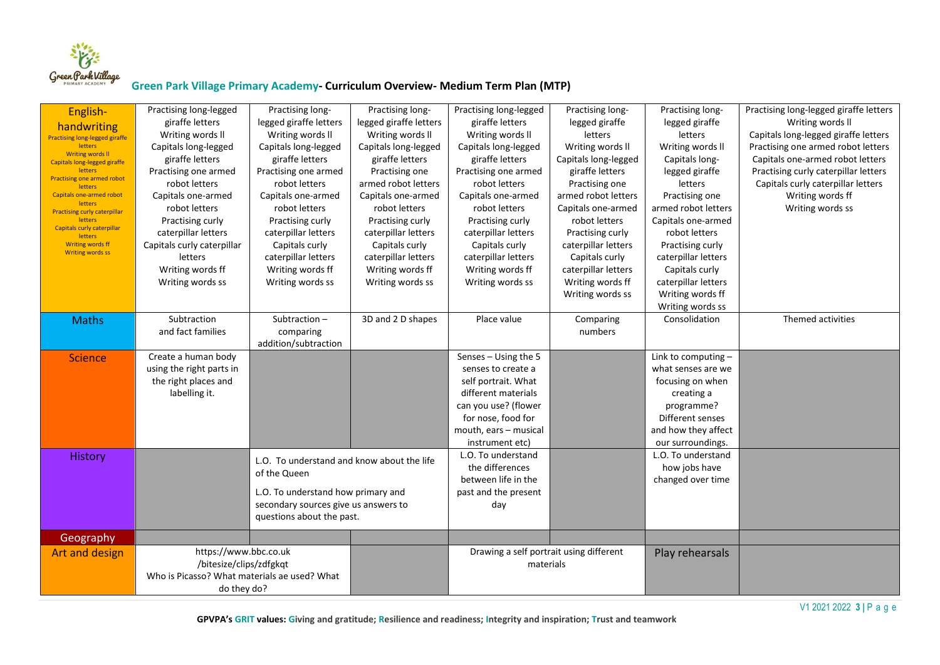

| English-<br>handwriting<br><b>Practising long-legged giraffe</b><br><b>letters</b><br>Writing words II<br>Capitals long-legged giraffe<br>letters<br><b>Practising one armed robot</b><br><b>letters</b><br><b>Capitals one-armed robot</b><br>letters<br><b>Practising curly caterpillar</b><br><b>letters</b><br>Capitals curly caterpillar<br>letters<br>Writing words ff<br><b>Writing words ss</b> | Practising long-legged<br>giraffe letters<br>Writing words II<br>Capitals long-legged<br>giraffe letters<br>Practising one armed<br>robot letters<br>Capitals one-armed<br>robot letters<br>Practising curly<br>caterpillar letters<br>Capitals curly caterpillar<br>letters<br>Writing words ff<br>Writing words ss | Practising long-<br>legged giraffe letters<br>Writing words II<br>Capitals long-legged<br>giraffe letters<br>Practising one armed<br>robot letters<br>Capitals one-armed<br>robot letters<br>Practising curly<br>caterpillar letters<br>Capitals curly<br>caterpillar letters<br>Writing words ff<br>Writing words ss | Practising long-<br>legged giraffe letters<br>Writing words II<br>Capitals long-legged<br>giraffe letters<br>Practising one<br>armed robot letters<br>Capitals one-armed<br>robot letters<br>Practising curly<br>caterpillar letters<br>Capitals curly<br>caterpillar letters<br>Writing words ff<br>Writing words ss | Practising long-legged<br>giraffe letters<br>Writing words II<br>Capitals long-legged<br>giraffe letters<br>Practising one armed<br>robot letters<br>Capitals one-armed<br>robot letters<br>Practising curly<br>caterpillar letters<br>Capitals curly<br>caterpillar letters<br>Writing words ff<br>Writing words ss | Practising long-<br>legged giraffe<br>letters<br>Writing words II<br>Capitals long-legged<br>giraffe letters<br>Practising one<br>armed robot letters<br>Capitals one-armed<br>robot letters<br>Practising curly<br>caterpillar letters<br>Capitals curly<br>caterpillar letters<br>Writing words ff<br>Writing words ss | Practising long-<br>legged giraffe<br>letters<br>Writing words II<br>Capitals long-<br>legged giraffe<br>letters<br>Practising one<br>armed robot letters<br>Capitals one-armed<br>robot letters<br>Practising curly<br>caterpillar letters<br>Capitals curly<br>caterpillar letters<br>Writing words ff<br>Writing words ss | Practising long-legged giraffe letters<br>Writing words II<br>Capitals long-legged giraffe letters<br>Practising one armed robot letters<br>Capitals one-armed robot letters<br>Practising curly caterpillar letters<br>Capitals curly caterpillar letters<br>Writing words ff<br>Writing words ss |
|---------------------------------------------------------------------------------------------------------------------------------------------------------------------------------------------------------------------------------------------------------------------------------------------------------------------------------------------------------------------------------------------------------|----------------------------------------------------------------------------------------------------------------------------------------------------------------------------------------------------------------------------------------------------------------------------------------------------------------------|-----------------------------------------------------------------------------------------------------------------------------------------------------------------------------------------------------------------------------------------------------------------------------------------------------------------------|-----------------------------------------------------------------------------------------------------------------------------------------------------------------------------------------------------------------------------------------------------------------------------------------------------------------------|----------------------------------------------------------------------------------------------------------------------------------------------------------------------------------------------------------------------------------------------------------------------------------------------------------------------|--------------------------------------------------------------------------------------------------------------------------------------------------------------------------------------------------------------------------------------------------------------------------------------------------------------------------|------------------------------------------------------------------------------------------------------------------------------------------------------------------------------------------------------------------------------------------------------------------------------------------------------------------------------|----------------------------------------------------------------------------------------------------------------------------------------------------------------------------------------------------------------------------------------------------------------------------------------------------|
| <b>Maths</b>                                                                                                                                                                                                                                                                                                                                                                                            | Subtraction<br>and fact families                                                                                                                                                                                                                                                                                     | Subtraction $-$<br>comparing<br>addition/subtraction                                                                                                                                                                                                                                                                  | 3D and 2 D shapes                                                                                                                                                                                                                                                                                                     | Place value                                                                                                                                                                                                                                                                                                          | Comparing<br>numbers                                                                                                                                                                                                                                                                                                     | Consolidation                                                                                                                                                                                                                                                                                                                | Themed activities                                                                                                                                                                                                                                                                                  |
| <b>Science</b>                                                                                                                                                                                                                                                                                                                                                                                          | Create a human body<br>using the right parts in<br>the right places and<br>labelling it.                                                                                                                                                                                                                             |                                                                                                                                                                                                                                                                                                                       |                                                                                                                                                                                                                                                                                                                       | Senses - Using the 5<br>senses to create a<br>self portrait. What<br>different materials<br>can you use? (flower<br>for nose, food for<br>mouth, ears - musical<br>instrument etc)                                                                                                                                   |                                                                                                                                                                                                                                                                                                                          | Link to computing $-$<br>what senses are we<br>focusing on when<br>creating a<br>programme?<br>Different senses<br>and how they affect<br>our surroundings.                                                                                                                                                                  |                                                                                                                                                                                                                                                                                                    |
| <b>History</b>                                                                                                                                                                                                                                                                                                                                                                                          |                                                                                                                                                                                                                                                                                                                      | L.O. To understand and know about the life<br>of the Queen<br>L.O. To understand how primary and<br>secondary sources give us answers to<br>questions about the past.                                                                                                                                                 |                                                                                                                                                                                                                                                                                                                       | L.O. To understand<br>the differences<br>between life in the<br>past and the present<br>day                                                                                                                                                                                                                          |                                                                                                                                                                                                                                                                                                                          | L.O. To understand<br>how jobs have<br>changed over time                                                                                                                                                                                                                                                                     |                                                                                                                                                                                                                                                                                                    |
| Geography                                                                                                                                                                                                                                                                                                                                                                                               |                                                                                                                                                                                                                                                                                                                      |                                                                                                                                                                                                                                                                                                                       |                                                                                                                                                                                                                                                                                                                       |                                                                                                                                                                                                                                                                                                                      |                                                                                                                                                                                                                                                                                                                          |                                                                                                                                                                                                                                                                                                                              |                                                                                                                                                                                                                                                                                                    |
| Art and design                                                                                                                                                                                                                                                                                                                                                                                          | https://www.bbc.co.uk<br>/bitesize/clips/zdfgkqt<br>Who is Picasso? What materials ae used? What<br>do they do?                                                                                                                                                                                                      |                                                                                                                                                                                                                                                                                                                       |                                                                                                                                                                                                                                                                                                                       | Drawing a self portrait using different<br>materials                                                                                                                                                                                                                                                                 |                                                                                                                                                                                                                                                                                                                          | Play rehearsals                                                                                                                                                                                                                                                                                                              |                                                                                                                                                                                                                                                                                                    |

V1 2021 2022 **3 |** P a g e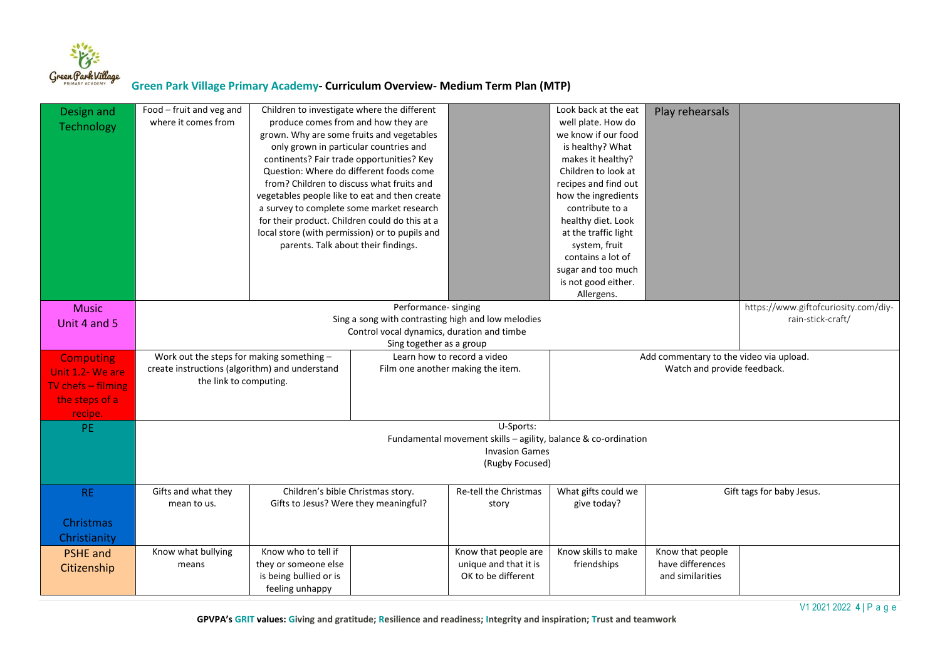

| Design and           | Food - fruit and veg and                                                                                           | Children to investigate where the different    |                      |                                                                | Look back at the eat | Play rehearsals                         |                                      |  |  |
|----------------------|--------------------------------------------------------------------------------------------------------------------|------------------------------------------------|----------------------|----------------------------------------------------------------|----------------------|-----------------------------------------|--------------------------------------|--|--|
| Technology           | where it comes from                                                                                                | produce comes from and how they are            |                      |                                                                | well plate. How do   |                                         |                                      |  |  |
|                      |                                                                                                                    | grown. Why are some fruits and vegetables      |                      |                                                                | we know if our food  |                                         |                                      |  |  |
|                      |                                                                                                                    | only grown in particular countries and         |                      |                                                                | is healthy? What     |                                         |                                      |  |  |
|                      |                                                                                                                    | continents? Fair trade opportunities? Key      |                      |                                                                | makes it healthy?    |                                         |                                      |  |  |
|                      |                                                                                                                    | Question: Where do different foods come        |                      |                                                                | Children to look at  |                                         |                                      |  |  |
|                      |                                                                                                                    | from? Children to discuss what fruits and      |                      |                                                                | recipes and find out |                                         |                                      |  |  |
|                      |                                                                                                                    | vegetables people like to eat and then create  |                      |                                                                | how the ingredients  |                                         |                                      |  |  |
|                      |                                                                                                                    | a survey to complete some market research      |                      |                                                                | contribute to a      |                                         |                                      |  |  |
|                      |                                                                                                                    | for their product. Children could do this at a |                      |                                                                | healthy diet. Look   |                                         |                                      |  |  |
|                      |                                                                                                                    | local store (with permission) or to pupils and |                      |                                                                | at the traffic light |                                         |                                      |  |  |
|                      |                                                                                                                    | parents. Talk about their findings.            |                      |                                                                | system, fruit        |                                         |                                      |  |  |
|                      |                                                                                                                    |                                                |                      |                                                                | contains a lot of    |                                         |                                      |  |  |
|                      |                                                                                                                    |                                                |                      |                                                                | sugar and too much   |                                         |                                      |  |  |
|                      |                                                                                                                    |                                                |                      |                                                                | is not good either.  |                                         |                                      |  |  |
|                      |                                                                                                                    |                                                |                      |                                                                | Allergens.           |                                         |                                      |  |  |
| <b>Music</b>         |                                                                                                                    |                                                | Performance- singing |                                                                |                      |                                         | https://www.giftofcuriosity.com/diy- |  |  |
| Unit 4 and 5         |                                                                                                                    |                                                |                      | Sing a song with contrasting high and low melodies             |                      |                                         | rain-stick-craft/                    |  |  |
|                      | Control vocal dynamics, duration and timbe                                                                         |                                                |                      |                                                                |                      |                                         |                                      |  |  |
|                      | Sing together as a group                                                                                           |                                                |                      |                                                                |                      |                                         |                                      |  |  |
| <b>Computing</b>     | Work out the steps for making something -                                                                          |                                                |                      | Learn how to record a video                                    |                      | Add commentary to the video via upload. |                                      |  |  |
| Unit 1.2- We are     | create instructions (algorithm) and understand<br>Film one another making the item.<br>Watch and provide feedback. |                                                |                      |                                                                |                      |                                         |                                      |  |  |
|                      | the link to computing.                                                                                             |                                                |                      |                                                                |                      |                                         |                                      |  |  |
|                      |                                                                                                                    |                                                |                      |                                                                |                      |                                         |                                      |  |  |
| TV chefs $-$ filming |                                                                                                                    |                                                |                      |                                                                |                      |                                         |                                      |  |  |
| the steps of a       |                                                                                                                    |                                                |                      |                                                                |                      |                                         |                                      |  |  |
| recipe.              |                                                                                                                    |                                                |                      |                                                                |                      |                                         |                                      |  |  |
| PE.                  |                                                                                                                    |                                                |                      | U-Sports:                                                      |                      |                                         |                                      |  |  |
|                      |                                                                                                                    |                                                |                      | Fundamental movement skills - agility, balance & co-ordination |                      |                                         |                                      |  |  |
|                      |                                                                                                                    |                                                |                      | <b>Invasion Games</b>                                          |                      |                                         |                                      |  |  |
|                      |                                                                                                                    |                                                |                      | (Rugby Focused)                                                |                      |                                         |                                      |  |  |
|                      |                                                                                                                    |                                                |                      |                                                                |                      |                                         |                                      |  |  |
| <b>RE</b>            | Gifts and what they                                                                                                | Children's bible Christmas story.              |                      | Re-tell the Christmas                                          | What gifts could we  |                                         | Gift tags for baby Jesus.            |  |  |
|                      | mean to us.                                                                                                        | Gifts to Jesus? Were they meaningful?          |                      | story                                                          | give today?          |                                         |                                      |  |  |
| Christmas            |                                                                                                                    |                                                |                      |                                                                |                      |                                         |                                      |  |  |
| Christianity         |                                                                                                                    |                                                |                      |                                                                |                      |                                         |                                      |  |  |
|                      | Know what bullying                                                                                                 | Know who to tell if                            |                      | Know that people are                                           | Know skills to make  | Know that people                        |                                      |  |  |
| <b>PSHE</b> and      | means                                                                                                              | they or someone else                           |                      | unique and that it is                                          | friendships          | have differences                        |                                      |  |  |
| Citizenship          |                                                                                                                    | is being bullied or is                         |                      | OK to be different                                             |                      | and similarities                        |                                      |  |  |
|                      |                                                                                                                    | feeling unhappy                                |                      |                                                                |                      |                                         |                                      |  |  |